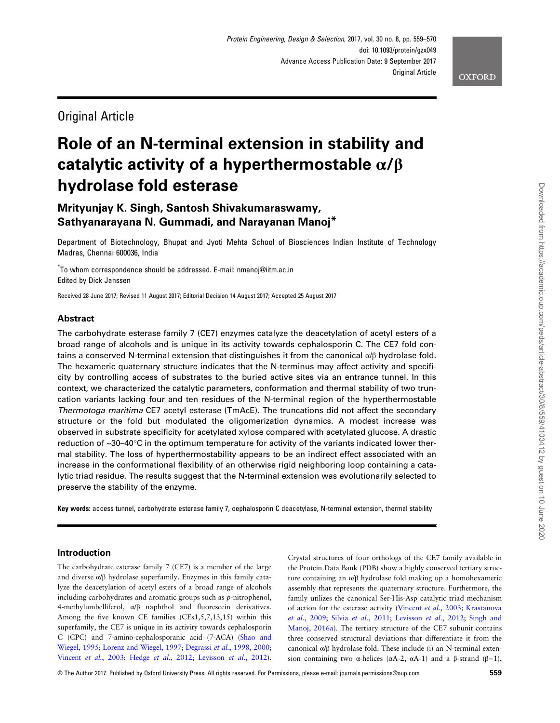# Original Article

# Role of an N-terminal extension in stability and catalytic activity of a hyperthermostable  $\alpha/\beta$ hydrolase fold esterase

# Mrityunjay K. Singh, Santosh Shivakumaraswamy, Sathyanarayana N. Gummadi, and Narayanan Manoj\*

Department of Biotechnology, Bhupat and Jyoti Mehta School of Biosciences Indian Institute of Technology Madras, Chennai 600036, India

\* To whom correspondence should be addressed. E-mail: nmanoj@iitm.ac.in Edited by Dick Janssen

Received 28 June 2017; Revised 11 August 2017; Editorial Decision 14 August 2017; Accepted 25 August 2017

# Abstract

The carbohydrate esterase family 7 (CE7) enzymes catalyze the deacetylation of acetyl esters of a broad range of alcohols and is unique in its activity towards cephalosporin C. The CE7 fold contains a conserved N-terminal extension that distinguishes it from the canonical  $\alpha/\beta$  hydrolase fold. The hexameric quaternary structure indicates that the N-terminus may affect activity and specificity by controlling access of substrates to the buried active sites via an entrance tunnel. In this context, we characterized the catalytic parameters, conformation and thermal stability of two truncation variants lacking four and ten residues of the N-terminal region of the hyperthermostable Thermotoga maritima CE7 acetyl esterase (TmAcE). The truncations did not affect the secondary structure or the fold but modulated the oligomerization dynamics. A modest increase was observed in substrate specificity for acetylated xylose compared with acetylated glucose. A drastic reduction of ~30–40°C in the optimum temperature for activity of the variants indicated lower thermal stability. The loss of hyperthermostability appears to be an indirect effect associated with an increase in the conformational flexibility of an otherwise rigid neighboring loop containing a catalytic triad residue. The results suggest that the N-terminal extension was evolutionarily selected to preserve the stability of the enzyme.

Key words: access tunnel, carbohydrate esterase family 7, cephalosporin C deacetylase, N-terminal extension, thermal stability

# Introduction

The carbohydrate esterase family 7 (CE7) is a member of the large and diverse α/β hydrolase superfamily. Enzymes in this family catalyze the deacetylation of acetyl esters of a broad range of alcohols including carbohydrates and aromatic groups such as p-nitrophenol, 4-methylumbelliferol, α/β naphthol and fluorescein derivatives. Among the five known CE families (CEs1,5,7,13,15) within this superfamily, the CE7 is unique in its activity towards cephalosporin C (CPC) and 7-amino-cephalosporanic acid (7-ACA) ([Shao and](#page-11-0) [Wiegel, 1995;](#page-11-0) [Lorenz and Wiegel, 1997](#page-11-0); [Degrassi](#page-10-0) et al., 1998, [2000;](#page-10-0) [Vincent](#page-11-0) et al., 2003; Hedge et al.[, 2012](#page-11-0); [Levisson](#page-11-0) et al., 2012). Crystal structures of four orthologs of the CE7 family available in the Protein Data Bank (PDB) show a highly conserved tertiary structure containing an α/β hydrolase fold making up a homohexameric assembly that represents the quaternary structure. Furthermore, the family utilizes the canonical Ser-His-Asp catalytic triad mechanism of action for the esterase activity [\(Vincent](#page-11-0) et al., 2003; [Krastanova](#page-11-0) et al.[, 2009;](#page-11-0) Silvia et al.[, 2011;](#page-11-0) [Levisson](#page-11-0) et al., 2012; [Singh and](#page-11-0) [Manoj, 2016a\)](#page-11-0). The tertiary structure of the CE7 subunit contains three conserved structural deviations that differentiate it from the canonical α/β hydrolase fold. These include (i) an N-terminal extension containing two α-helices ( $\alpha$ A-2,  $\alpha$ A-1) and a β-strand (β–1),

**OXFORD**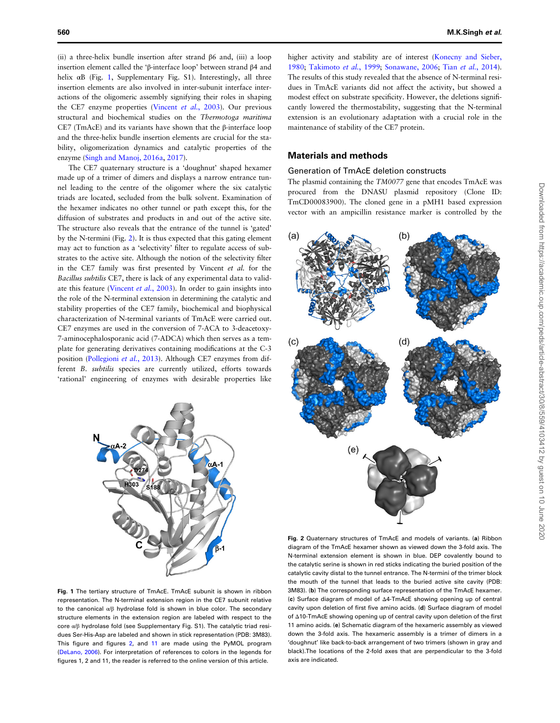<span id="page-1-0"></span>(ii) a three-helix bundle insertion after strand β6 and, (iii) a loop insertion element called the 'β-interface loop' between strand β4 and helix  $\alpha$ B (Fig. 1, Supplementary Fig. S1). Interestingly, all three insertion elements are also involved in inter-subunit interface interactions of the oligomeric assembly signifying their roles in shaping the CE7 enzyme properties ([Vincent](#page-11-0) et al., 2003). Our previous structural and biochemical studies on the Thermotoga maritima CE7 (TmAcE) and its variants have shown that the β-interface loop and the three-helix bundle insertion elements are crucial for the stability, oligomerization dynamics and catalytic properties of the enzyme [\(Singh and Manoj, 2016a](#page-11-0), [2017](#page-11-0)).

The CE7 quaternary structure is a 'doughnut' shaped hexamer made up of a trimer of dimers and displays a narrow entrance tunnel leading to the centre of the oligomer where the six catalytic triads are located, secluded from the bulk solvent. Examination of the hexamer indicates no other tunnel or path except this, for the diffusion of substrates and products in and out of the active site. The structure also reveals that the entrance of the tunnel is 'gated' by the N-termini (Fig. 2). It is thus expected that this gating element may act to function as a 'selectivity' filter to regulate access of substrates to the active site. Although the notion of the selectivity filter in the CE7 family was first presented by Vincent et al. for the Bacillus subtilis CE7, there is lack of any experimental data to validate this feature ([Vincent](#page-11-0) et al., 2003). In order to gain insights into the role of the N-terminal extension in determining the catalytic and stability properties of the CE7 family, biochemical and biophysical characterization of N-terminal variants of TmAcE were carried out. CE7 enzymes are used in the conversion of 7-ACA to 3-deacetoxy-7-aminocephalosporanic acid (7-ADCA) which then serves as a template for generating derivatives containing modifications at the C-3 position [\(Pollegioni](#page-11-0) et al., 2013). Although CE7 enzymes from different B. subtilis species are currently utilized, efforts towards 'rational' engineering of enzymes with desirable properties like



Fig. 1 The tertiary structure of TmAcE. TmAcE subunit is shown in ribbon representation. The N-terminal extension region in the CE7 subunit relative to the canonical α/β hydrolase fold is shown in blue color. The secondary structure elements in the extension region are labeled with respect to the core α/β hydrolase fold (see Supplementary Fig. S1). The catalytic triad residues Ser-His-Asp are labeled and shown in stick representation (PDB: 3M83). This figure and figures 2, and [11](#page-10-0) are made using the PyMOL program [\(DeLano, 2006\)](#page-10-0). For interpretation of references to colors in the legends for figures 1, 2 and 11, the reader is referred to the online version of this article.

higher activity and stability are of interest [\(Konecny and Sieber,](#page-11-0) [1980;](#page-11-0) [Takimoto](#page-11-0) et al., 1999; [Sonawane, 2006](#page-11-0); Tian et al.[, 2014](#page-11-0)). The results of this study revealed that the absence of N-terminal residues in TmAcE variants did not affect the activity, but showed a modest effect on substrate specificity. However, the deletions significantly lowered the thermostability, suggesting that the N-terminal extension is an evolutionary adaptation with a crucial role in the maintenance of stability of the CE7 protein.

### Materials and methods

#### Generation of TmAcE deletion constructs

The plasmid containing the TM0077 gene that encodes TmAcE was procured from the DNASU plasmid repository (Clone ID: TmCD00083900). The cloned gene in a pMH1 based expression vector with an ampicillin resistance marker is controlled by the



Fig. 2 Quaternary structures of TmAcE and models of variants. (a) Ribbon diagram of the TmAcE hexamer shown as viewed down the 3-fold axis. The N-terminal extension element is shown in blue. DEP covalently bound to the catalytic serine is shown in red sticks indicating the buried position of the catalytic cavity distal to the tunnel entrance. The N-termini of the trimer block the mouth of the tunnel that leads to the buried active site cavity (PDB: 3M83). (b) The corresponding surface representation of the TmAcE hexamer. (c) Surface diagram of model of Δ4-TmAcE showing opening up of central cavity upon deletion of first five amino acids. (d) Surface diagram of model of Δ10-TmAcE showing opening up of central cavity upon deletion of the first 11 amino acids. (e) Schematic diagram of the hexameric assembly as viewed down the 3-fold axis. The hexameric assembly is a trimer of dimers in a 'doughnut' like back-to-back arrangement of two trimers (shown in gray and black).The locations of the 2-fold axes that are perpendicular to the 3-fold axis are indicated.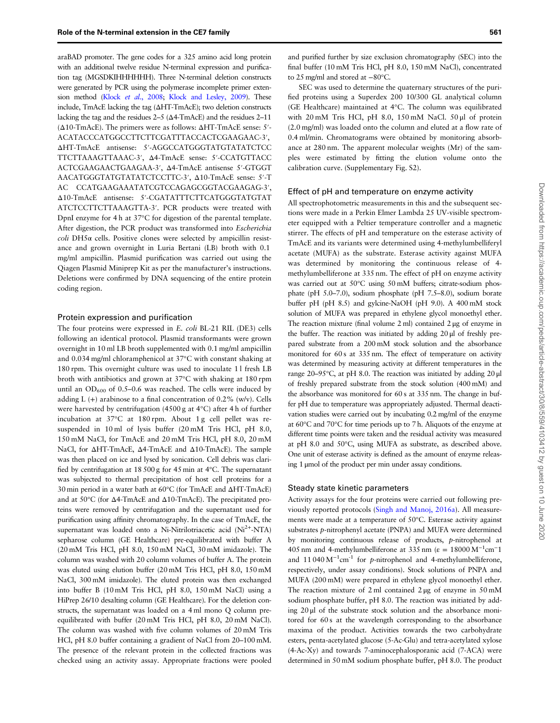araBAD promoter. The gene codes for a 325 amino acid long protein with an additional twelve residue N-terminal expression and purification tag (MGSDKIHHHHHH). Three N-terminal deletion constructs were generated by PCR using the polymerase incomplete primer exten-sion method (Klock et al.[, 2008](#page-11-0); [Klock and Lesley, 2009](#page-11-0)). These include, TmAcE lacking the tag (ΔHT-TmAcE); two deletion constructs lacking the tag and the residues  $2-5$  ( $\Delta$ 4-TmAcE) and the residues 2–11 (Δ10-TmAcE). The primers were as follows: ΔHT-TmAcE sense: 5′- ACATACCCATGGCCTTCTTCGATTTACCACTCGAAGAAC-3′, ΔHT-TmAcE antisense: 5′-AGGCCATGGGTATGTATATCTCC TTCTTAAAGTTAAAC-3′, Δ4-TmAcE sense: 5′-CCATGTTACC ACTCGAAGAACTGAAGAA-3′, Δ4-TmAcE antisense 5′-GTGGT AACATGGGTATGTATATCTCCTTC-3′, Δ10-TmAcE sense: 5′-T AC CCATGAAGAAATATCGTCCAGAGCGGTACGAAGAG-3′, Δ10-TmAcE antisense: 5′-CGATATTTCTTCATGGGTATGTAT ATCTCCTTCTTAAAGTTA-3′. PCR products were treated with DpnI enzyme for 4 h at 37°C for digestion of the parental template. After digestion, the PCR product was transformed into Escherichia  $\text{coli}$  DH5 $\alpha$  cells. Positive clones were selected by ampicillin resistance and grown overnight in Luria Bertani (LB) broth with 0.1 mg/ml ampicillin. Plasmid purification was carried out using the Qiagen Plasmid Miniprep Kit as per the manufacturer's instructions. Deletions were confirmed by DNA sequencing of the entire protein coding region.

#### Protein expression and purification

The four proteins were expressed in E. coli BL-21 RIL (DE3) cells following an identical protocol. Plasmid transformants were grown overnight in 10 ml LB broth supplemented with 0.1 mg/ml ampicillin and 0.034 mg/ml chloramphenicol at 37°C with constant shaking at 180 rpm. This overnight culture was used to inoculate 11 fresh LB broth with antibiotics and grown at 37°C with shaking at 180 rpm until an  $OD_{600}$  of 0.5–0.6 was reached. The cells were induced by adding L  $(+)$  arabinose to a final concentration of 0.2% (w/v). Cells were harvested by centrifugation (4500 g at 4°C) after 4 h of further incubation at 37°C at 180 rpm. About 1 g cell pellet was resuspended in 10 ml of lysis buffer (20 mM Tris HCl, pH 8.0, 150 mM NaCl, for TmAcE and 20 mM Tris HCl, pH 8.0, 20 mM NaCl, for ΔHT-TmAcE, Δ4-TmAcE and Δ10-TmAcE). The sample was then placed on ice and lysed by sonication. Cell debris was clarified by centrifugation at 18 500 g for 45 min at 4°C. The supernatant was subjected to thermal precipitation of host cell proteins for a 30 min period in a water bath at 60°C (for TmAcE and ΔHT-TmAcE) and at 50°C (for Δ4-TmAcE and Δ10-TmAcE). The precipitated proteins were removed by centrifugation and the supernatant used for purification using affinity chromatography. In the case of TmAcE, the supernatant was loaded onto a Ni-Nitrilotriacetic acid (Ni<sup>2+</sup>-NTA) sepharose column (GE Healthcare) pre-equilibrated with buffer A (20 mM Tris HCl, pH 8.0, 150 mM NaCl, 30 mM imidazole). The column was washed with 20 column volumes of buffer A. The protein was eluted using elution buffer (20 mM Tris HCl, pH 8.0, 150 mM NaCl, 300 mM imidazole). The eluted protein was then exchanged into buffer B (10 mM Tris HCl, pH 8.0, 150 mM NaCl) using a HiPrep 26/10 desalting column (GE Healthcare). For the deletion constructs, the supernatant was loaded on a 4 ml mono Q column preequilibrated with buffer (20 mM Tris HCl, pH 8.0, 20 mM NaCl). The column was washed with five column volumes of 20 mM Tris HCl, pH 8.0 buffer containing a gradient of NaCl from 20–100 mM. The presence of the relevant protein in the collected fractions was checked using an activity assay. Appropriate fractions were pooled and purified further by size exclusion chromatography (SEC) into the final buffer (10 mM Tris HCl, pH 8.0, 150 mM NaCl), concentrated to 25 mg/ml and stored at −80°C.

SEC was used to determine the quaternary structures of the purified proteins using a Superdex 200 10/300 GL analytical column (GE Healthcare) maintained at 4°C. The column was equilibrated with 20 mM Tris HCl, pH 8.0, 150 mM NaCl. 50 μl of protein (2.0 mg/ml) was loaded onto the column and eluted at a flow rate of 0.4 ml/min. Chromatograms were obtained by monitoring absorbance at 280 nm. The apparent molecular weights (Mr) of the samples were estimated by fitting the elution volume onto the calibration curve. (Supplementary Fig. S2).

#### Effect of pH and temperature on enzyme activity

All spectrophotometric measurements in this and the subsequent sections were made in a Perkin Elmer Lambda 25 UV-visible spectrometer equipped with a Peltier temperature controller and a magnetic stirrer. The effects of pH and temperature on the esterase activity of TmAcE and its variants were determined using 4-methylumbelliferyl acetate (MUFA) as the substrate. Esterase activity against MUFA was determined by monitoring the continuous release of 4 methylumbelliferone at 335 nm. The effect of pH on enzyme activity was carried out at 50°C using 50 mM buffers; citrate-sodium phosphate (pH 5.0–7.0), sodium phosphate (pH 7.5–8.0), sodium borate buffer pH (pH 8.5) and gylcine-NaOH (pH 9.0). A 400 mM stock solution of MUFA was prepared in ethylene glycol monoethyl ether. The reaction mixture (final volume 2 ml) contained 2 μg of enzyme in the buffer. The reaction was initiated by adding 20 μl of freshly prepared substrate from a 200 mM stock solution and the absorbance monitored for 60 s at 335 nm. The effect of temperature on activity was determined by measuring activity at different temperatures in the range 20–95°C, at pH 8.0. The reaction was initiated by adding 20 μl of freshly prepared substrate from the stock solution (400 mM) and the absorbance was monitored for 60 s at 335 nm. The change in buffer pH due to temperature was appropriately adjusted. Thermal deactivation studies were carried out by incubating 0.2 mg/ml of the enzyme at 60°C and 70°C for time periods up to 7 h. Aliquots of the enzyme at different time points were taken and the residual activity was measured at pH 8.0 and 50°C, using MUFA as substrate, as described above. One unit of esterase activity is defined as the amount of enzyme releasing 1 μmol of the product per min under assay conditions.

#### Steady state kinetic parameters

Activity assays for the four proteins were carried out following previously reported protocols [\(Singh and Manoj, 2016a\)](#page-11-0). All measurements were made at a temperature of 50°C. Esterase activity against substrates p-nitrophenyl acetate (PNPA) and MUFA were determined by monitoring continuous release of products, p-nitrophenol at 405 nm and 4-methylumbelliferone at 335 nm ( $\varepsilon = 18000 \,\mathrm{M}^{-1} \mathrm{cm}^{-1}$ and 11 040  $M^{-1}$ cm<sup>-1</sup> for p-nitrophenol and 4-methylumbelliferone, respectively, under assay conditions). Stock solutions of PNPA and MUFA (200 mM) were prepared in ethylene glycol monoethyl ether. The reaction mixture of 2 ml contained 2 μg of enzyme in 50 mM sodium phosphate buffer, pH 8.0. The reaction was initiated by adding 20 μl of the substrate stock solution and the absorbance monitored for 60 s at the wavelength corresponding to the absorbance maxima of the product. Activities towards the two carbohydrate esters, penta-acetylated glucose (5-Ac-Glu) and tetra-acetylated xylose (4-Ac-Xy) and towards 7-aminocephalosporanic acid (7-ACA) were determined in 50 mM sodium phosphate buffer, pH 8.0. The product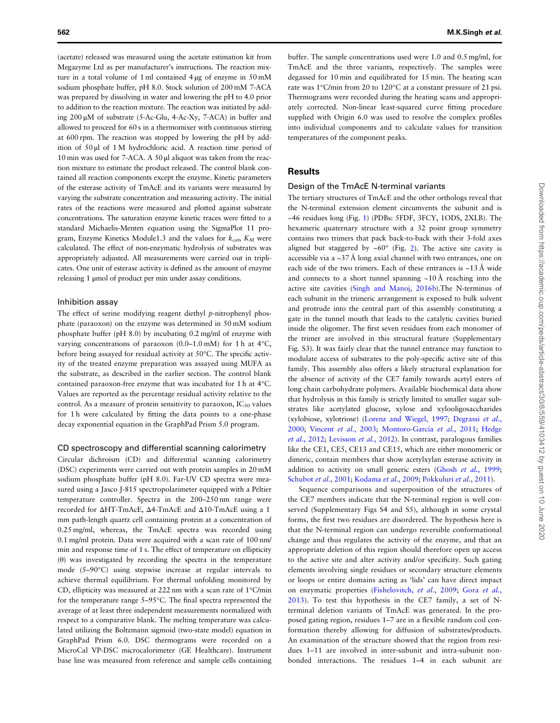(acetate) released was measured using the acetate estimation kit from Megazyme Ltd as per manufacturer's instructions. The reaction mixture in a total volume of 1 ml contained 4 μg of enzyme in 50 mM sodium phosphate buffer, pH 8.0. Stock solution of 200 mM 7-ACA was prepared by dissolving in water and lowering the pH to 4.0 prior to addition to the reaction mixture. The reaction was initiated by adding 200 μM of substrate (5-Ac-Glu, 4-Ac-Xy, 7-ACA) in buffer and allowed to proceed for 60 s in a thermomixer with continuous stirring at 600 rpm. The reaction was stopped by lowering the pH by addition of 50 μl of 1 M hydrochloric acid. A reaction time period of 10 min was used for 7-ACA. A 50 μl aliquot was taken from the reaction mixture to estimate the product released. The control blank contained all reaction components except the enzyme. Kinetic parameters of the esterase activity of TmAcE and its variants were measured by varying the substrate concentration and measuring activity. The initial rates of the reactions were measured and plotted against substrate concentrations. The saturation enzyme kinetic traces were fitted to a standard Michaelis-Menten equation using the SigmaPlot 11 program, Enzyme Kinetics Module1.3 and the values for  $k_{cat}$ ,  $K_M$  were calculated. The effect of non-enzymatic hydrolysis of substrates was appropriately adjusted. All measurements were carried out in triplicates. One unit of esterase activity is defined as the amount of enzyme releasing 1 μmol of product per min under assay conditions.

#### Inhibition assay

The effect of serine modifying reagent diethyl p-nitrophenyl phosphate (paraoxon) on the enzyme was determined in 50 mM sodium phosphate buffer (pH 8.0) by incubating 0.2 mg/ml of enzyme with varying concentrations of paraoxon (0.0–1.0 mM) for 1 h at 4°C, before being assayed for residual activity at 50°C. The specific activity of the treated enzyme preparation was assayed using MUFA as the substrate, as described in the earlier section. The control blank contained paraoxon-free enzyme that was incubated for 1 h at 4°C. Values are reported as the percentage residual activity relative to the control. As a measure of protein sensitivity to paraoxon,  $IC_{50}$  values for 1 h were calculated by fitting the data points to a one-phase decay exponential equation in the GraphPad Prism 5.0 program.

#### CD spectroscopy and differential scanning calorimetry

Circular dichroism (CD) and differential scanning calorimetry (DSC) experiments were carried out with protein samples in 20 mM sodium phosphate buffer (pH 8.0). Far-UV CD spectra were measured using a Jasco J-815 spectropolarimeter equipped with a Peltier temperature controller. Spectra in the 200–250 nm range were recorded for ΔHT-TmAcE, Δ4-TmAcE and Δ10-TmAcE using a 1 mm path-length quartz cell containing protein at a concentration of 0.25 mg/ml, whereas, the TmAcE spectra was recorded using 0.1 mg/ml protein. Data were acquired with a scan rate of 100 nm/ min and response time of 1 s. The effect of temperature on ellipticity (θ) was investigated by recording the spectra in the temperature mode (5–90°C) using stepwise increase at regular intervals to achieve thermal equilibrium. For thermal unfolding monitored by CD, ellipticity was measured at 222 nm with a scan rate of 1°C/min for the temperature range 5–95°C. The final spectra represented the average of at least three independent measurements normalized with respect to a comparative blank. The melting temperature was calculated utilizing the Boltzmann sigmoid (two-state model) equation in GraphPad Prism 6.0. DSC thermograms were recorded on a MicroCal VP-DSC microcalorimeter (GE Healthcare). Instrument base line was measured from reference and sample cells containing

buffer. The sample concentrations used were 1.0 and 0.5 mg/ml, for TmAcE and the three variants, respectively. The samples were degassed for 10 min and equilibrated for 15 min. The heating scan rate was 1°C/min from 20 to 120°C at a constant pressure of 21 psi. Thermograms were recorded during the heating scans and appropriately corrected. Non-linear least-squared curve fitting procedure supplied with Origin 6.0 was used to resolve the complex profiles into individual components and to calculate values for transition temperatures of the component peaks.

#### **Results**

#### Design of the TmAcE N-terminal variants

The tertiary structures of TmAcE and the other orthologs reveal that the N-terminal extension element circumvents the subunit and is ~46 residues long (Fig. [1](#page-1-0)) (PDBs: 5FDF, 3FCY, 1ODS, 2XLB). The hexameric quaternary structure with a 32 point group symmetry contains two trimers that pack back-to-back with their 3-fold axes aligned but staggered by  $~60^{\circ}$  (Fig. [2](#page-1-0)). The active site cavity is accessible via a  $\sim$ 37 Å long axial channel with two entrances, one on each side of the two trimers. Each of these entrances is ~13 Å wide and connects to a short tunnel spanning  $~10 \text{ Å}$  reaching into the active site cavities ([Singh and Manoj, 2016b](#page-11-0)).The N-terminus of each subunit in the trimeric arrangement is exposed to bulk solvent and protrude into the central part of this assembly constituting a gate in the tunnel mouth that leads to the catalytic cavities buried inside the oligomer. The first seven residues from each monomer of the trimer are involved in this structural feature (Supplementary Fig. S3). It was fairly clear that the tunnel entrance may function to modulate access of substrates to the poly-specific active site of this family. This assembly also offers a likely structural explanation for the absence of activity of the CE7 family towards acetyl esters of long chain carbohydrate polymers. Available biochemical data show that hydrolysis in this family is strictly limited to smaller sugar substrates like acetylated glucose, xylose and xylooligosaccharides (xylobiose, xylotriose) ([Lorenz and Wiegel, 1997;](#page-11-0) [Degrassi](#page-10-0) et al., [2000;](#page-10-0) [Vincent](#page-11-0) et al., 2003; [Montoro-García](#page-11-0) et al., 2011; [Hedge](#page-11-0) et al.[, 2012;](#page-11-0) [Levisson](#page-11-0) et al., 2012). In contrast, paralogous families like the CE1, CE5, CE13 and CE15, which are either monomeric or dimeric, contain members that show acetylxylan esterase activity in addition to activity on small generic esters (Ghosh et al.[, 1999;](#page-10-0) [Schubot](#page-11-0) et al., 2001; [Kodama](#page-11-0) et al., 2009; [Pokkuluri](#page-11-0) et al., 2011).

Sequence comparisons and superposition of the structures of the CE7 members indicate that the N-terminal region is well conserved (Supplementary Figs S4 and S5), although in some crystal forms, the first two residues are disordered. The hypothesis here is that the N-terminal region can undergo reversible conformational change and thus regulates the activity of the enzyme, and that an appropriate deletion of this region should therefore open up access to the active site and alter activity and/or specificity. Such gating elements involving single residues or secondary structure elements or loops or entire domains acting as 'lids' can have direct impact on enzymatic properties ([Fishelovitch,](#page-10-0) et al., 2009; Gora [et al.](#page-11-0), [2013\)](#page-11-0). To test this hypothesis in the CE7 family, a set of Nterminal deletion variants of TmAcE was generated. In the proposed gating region, residues 1–7 are in a flexible random coil conformation thereby allowing for diffusion of substrates/products. An examination of the structure showed that the region from residues 1–11 are involved in inter-subunit and intra-subunit nonbonded interactions. The residues 1–4 in each subunit are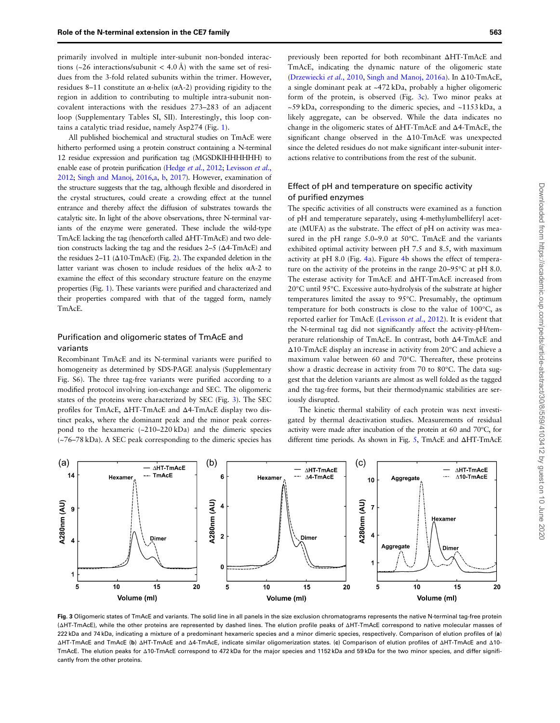primarily involved in multiple inter-subunit non-bonded interactions ( $\sim$ 26 interactions/subunit < 4.0 Å) with the same set of residues from the 3-fold related subunits within the trimer. However, residues 8–11 constitute an α-helix (αA-2) providing rigidity to the region in addition to contributing to multiple intra-subunit noncovalent interactions with the residues 273–283 of an adjacent loop (Supplementary Tables SI, SII). Interestingly, this loop contains a catalytic triad residue, namely Asp274 (Fig. [1](#page-1-0)).

All published biochemical and structural studies on TmAcE were hitherto performed using a protein construct containing a N-terminal 12 residue expression and purification tag (MGSDKIHHHHHH) to enable ease of protein purification [\(Hedge](#page-11-0) et al., 2012; [Levisson](#page-11-0) et al., [2012](#page-11-0); [Singh and Manoj, 2016,a,](#page-11-0) [b](#page-11-0), [2017](#page-11-0)). However, examination of the structure suggests that the tag, although flexible and disordered in the crystal structures, could create a crowding effect at the tunnel entrance and thereby affect the diffusion of substrates towards the catalytic site. In light of the above observations, three N-terminal variants of the enzyme were generated. These include the wild-type TmAcE lacking the tag (henceforth called ΔHT-TmAcE) and two deletion constructs lacking the tag and the residues 2–5 (Δ4-TmAcE) and the residues  $2-11$  $2-11$  ( $\Delta$ 10-TmAcE) (Fig. 2). The expanded deletion in the latter variant was chosen to include residues of the helix αA-2 to examine the effect of this secondary structure feature on the enzyme properties (Fig. [1\)](#page-1-0). These variants were purified and characterized and their properties compared with that of the tagged form, namely TmAcE.

## Purification and oligomeric states of TmAcE and variants

Recombinant TmAcE and its N-terminal variants were purified to homogeneity as determined by SDS-PAGE analysis (Supplementary Fig. S6). The three tag-free variants were purified according to a modified protocol involving ion-exchange and SEC. The oligomeric states of the proteins were characterized by SEC (Fig. 3). The SEC profiles for TmAcE, ΔHT-TmAcE and Δ4-TmAcE display two distinct peaks, where the dominant peak and the minor peak correspond to the hexameric (~210–220 kDa) and the dimeric species (~76–78 kDa). A SEC peak corresponding to the dimeric species has

previously been reported for both recombinant ΔHT-TmAcE and TmAcE, indicating the dynamic nature of the oligomeric state ([Drzewiecki](#page-10-0) et al., 2010, [Singh and Manoj, 2016a](#page-11-0)). In Δ10-TmAcE, a single dominant peak at ~472 kDa, probably a higher oligomeric form of the protein, is observed (Fig. 3c). Two minor peaks at ~59 kDa, corresponding to the dimeric species, and ~1153 kDa, a likely aggregate, can be observed. While the data indicates no change in the oligomeric states of ΔHT-TmAcE and Δ4-TmAcE, the significant change observed in the Δ10-TmAcE was unexpected since the deleted residues do not make significant inter-subunit interactions relative to contributions from the rest of the subunit.

# Effect of pH and temperature on specific activity of purified enzymes

The specific activities of all constructs were examined as a function of pH and temperature separately, using 4-methylumbelliferyl acetate (MUFA) as the substrate. The effect of pH on activity was measured in the pH range 5.0–9.0 at 50°C. TmAcE and the variants exhibited optimal activity between pH 7.5 and 8.5, with maximum activity at pH 8.0 (Fig. [4a](#page-5-0)). Figure [4](#page-5-0)b shows the effect of temperature on the activity of the proteins in the range 20–95°C at pH 8.0. The esterase activity for TmAcE and ΔHT-TmAcE increased from 20°C until 95°C. Excessive auto-hydrolysis of the substrate at higher temperatures limited the assay to 95°C. Presumably, the optimum temperature for both constructs is close to the value of 100°C, as reported earlier for TmAcE [\(Levisson](#page-11-0) et al., 2012). It is evident that the N-terminal tag did not significantly affect the activity-pH/temperature relationship of TmAcE. In contrast, both Δ4-TmAcE and Δ10-TmAcE display an increase in activity from 20°C and achieve a maximum value between 60 and 70°C. Thereafter, these proteins show a drastic decrease in activity from 70 to 80°C. The data suggest that the deletion variants are almost as well folded as the tagged and the tag-free forms, but their thermodynamic stabilities are seriously disrupted.

The kinetic thermal stability of each protein was next investigated by thermal deactivation studies. Measurements of residual activity were made after incubation of the protein at 60 and 70°C, for different time periods. As shown in Fig. [5,](#page-5-0) TmAcE and ΔHT-TmAcE



Fig. 3 Oligomeric states of TmAcE and variants. The solid line in all panels in the size exclusion chromatograms represents the native N-terminal tag-free protein (ΔHT-TmAcE), while the other proteins are represented by dashed lines. The elution profile peaks of ΔHT-TmAcE correspond to native molecular masses of 222 kDa and 74 kDa, indicating a mixture of a predominant hexameric species and a minor dimeric species, respectively. Comparison of elution profiles of (a) ΔHT-TmAcE and TmAcE (b) ΔHT-TmAcE and Δ4-TmAcE, indicate similar oligomerization states. (c) Comparison of elution profiles of ΔHT-TmAcE and Δ10- TmAcE. The elution peaks for Δ10-TmAcE correspond to 472 kDa for the major species and 1152 kDa and 59 kDa for the two minor species, and differ significantly from the other proteins.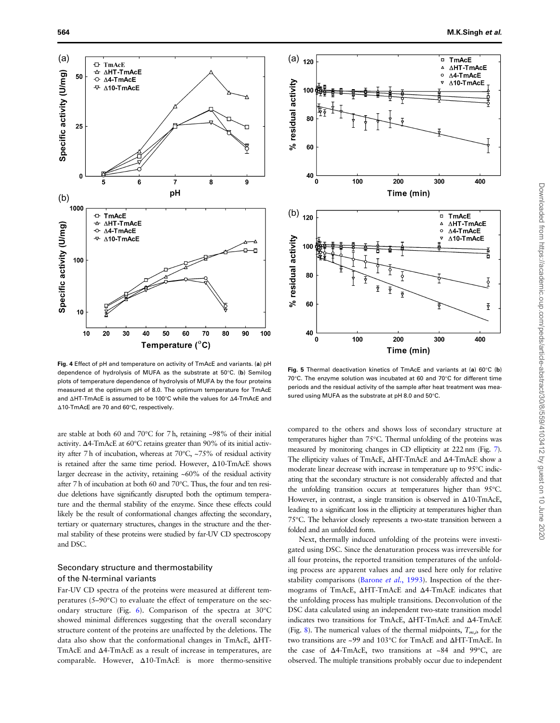<span id="page-5-0"></span>

Fig. 4 Effect of pH and temperature on activity of TmAcE and variants. (a) pH dependence of hydrolysis of MUFA as the substrate at 50°C. (b) Semilog plots of temperature dependence of hydrolysis of MUFA by the four proteins measured at the optimum pH of 8.0. The optimum temperature for TmAcE and ΔHT-TmAcE is assumed to be 100°C while the values for Δ4-TmAcE and Δ10-TmAcE are 70 and 60°C, respectively.

are stable at both 60 and 70°C for 7 h, retaining ~98% of their initial activity. Δ4-TmAcE at 60°C retains greater than 90% of its initial activity after 7 h of incubation, whereas at 70°C, ~75% of residual activity is retained after the same time period. However, Δ10-TmAcE shows larger decrease in the activity, retaining ~60% of the residual activity after 7 h of incubation at both 60 and 70°C. Thus, the four and ten residue deletions have significantly disrupted both the optimum temperature and the thermal stability of the enzyme. Since these effects could likely be the result of conformational changes affecting the secondary, tertiary or quaternary structures, changes in the structure and the thermal stability of these proteins were studied by far-UV CD spectroscopy and DSC.

# Secondary structure and thermostability of the N-terminal variants

Far-UV CD spectra of the proteins were measured at different temperatures (5–90°C) to evaluate the effect of temperature on the secondary structure (Fig. [6\)](#page-6-0). Comparison of the spectra at 30°C showed minimal differences suggesting that the overall secondary structure content of the proteins are unaffected by the deletions. The data also show that the conformational changes in TmAcE, ΔHT-TmAcE and Δ4-TmAcE as a result of increase in temperatures, are comparable. However, Δ10-TmAcE is more thermo-sensitive



Fig. 5 Thermal deactivation kinetics of TmAcE and variants at (a) 60°C (b) 70°C. The enzyme solution was incubated at 60 and 70°C for different time periods and the residual activity of the sample after heat treatment was measured using MUFA as the substrate at pH 8.0 and 50°C.

compared to the others and shows loss of secondary structure at temperatures higher than 75°C. Thermal unfolding of the proteins was measured by monitoring changes in CD ellipticity at 222 nm (Fig. [7](#page-6-0)). The ellipticity values of TmAcE, ΔHT-TmAcE and Δ4-TmAcE show a moderate linear decrease with increase in temperature up to 95°C indicating that the secondary structure is not considerably affected and that the unfolding transition occurs at temperatures higher than 95°C. However, in contrast, a single transition is observed in Δ10-TmAcE, leading to a significant loss in the ellipticity at temperatures higher than 75°C. The behavior closely represents a two-state transition between a folded and an unfolded form.

Next, thermally induced unfolding of the proteins were investigated using DSC. Since the denaturation process was irreversible for all four proteins, the reported transition temperatures of the unfolding process are apparent values and are used here only for relative stability comparisons [\(Barone](#page-10-0) *et al.*, 1993). Inspection of the thermograms of TmAcE, ΔHT-TmAcE and Δ4-TmAcE indicates that the unfolding process has multiple transitions. Deconvolution of the DSC data calculated using an independent two-state transition model indicates two transitions for TmAcE, ΔHT-TmAcE and Δ4-TmAcE (Fig. [8\)](#page-7-0). The numerical values of the thermal midpoints,  $T_{m,i}$ , for the two transitions are ~99 and 103°C for TmAcE and ΔHT-TmAcE. In the case of Δ4-TmAcE, two transitions at ~84 and 99°C, are observed. The multiple transitions probably occur due to independent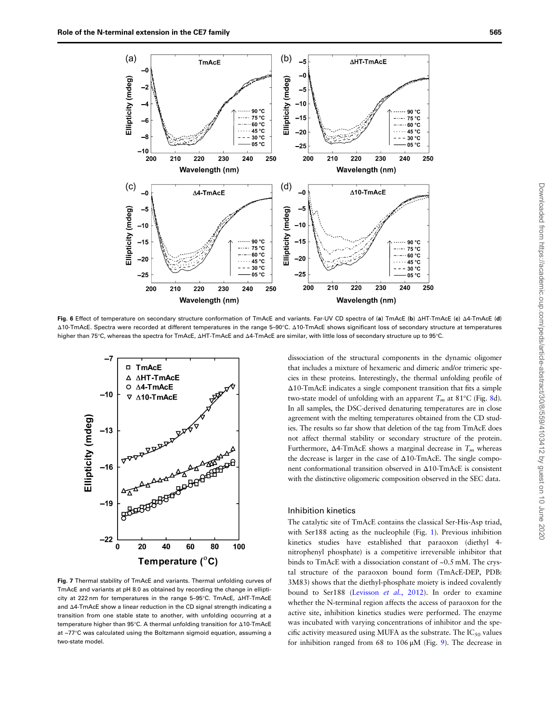<span id="page-6-0"></span>

Fig. 6 Effect of temperature on secondary structure conformation of TmAcE and variants. Far-UV CD spectra of (a) TmAcE (b) ΔHT-TmAcE (c) Δ4-TmAcE (d) Δ10-TmAcE. Spectra were recorded at different temperatures in the range 5–90°C. Δ10-TmAcE shows significant loss of secondary structure at temperatures higher than 75°C, whereas the spectra for TmAcE, ΔHT-TmAcE and Δ4-TmAcE are similar, with little loss of secondary structure up to 95°C.



Fig. 7 Thermal stability of TmAcE and variants. Thermal unfolding curves of TmAcE and variants at pH 8.0 as obtained by recording the change in ellipticity at 222 nm for temperatures in the range 5–95°C. TmAcE, ΔHT-TmAcE and Δ4-TmAcE show a linear reduction in the CD signal strength indicating a transition from one stable state to another, with unfolding occurring at a temperature higher than 95°C. A thermal unfolding transition for Δ10-TmAcE at ~77°C was calculated using the Boltzmann sigmoid equation, assuming a two-state model.

dissociation of the structural components in the dynamic oligomer that includes a mixture of hexameric and dimeric and/or trimeric species in these proteins. Interestingly, the thermal unfolding profile of Δ10-TmAcE indicates a single component transition that fits a simple two-state model of unfolding with an apparent  $T_m$  at 81°C (Fig. [8d](#page-7-0)). In all samples, the DSC-derived denaturing temperatures are in close agreement with the melting temperatures obtained from the CD studies. The results so far show that deletion of the tag from TmAcE does not affect thermal stability or secondary structure of the protein. Furthermore, Δ4-TmAcE shows a marginal decrease in  $T_m$  whereas the decrease is larger in the case of Δ10-TmAcE. The single component conformational transition observed in Δ10-TmAcE is consistent with the distinctive oligomeric composition observed in the SEC data.

#### Inhibition kinetics

The catalytic site of TmAcE contains the classical Ser-His-Asp triad, with Ser188 acting as the nucleophile (Fig. [1](#page-1-0)). Previous inhibition kinetics studies have established that paraoxon (diethyl 4 nitrophenyl phosphate) is a competitive irreversible inhibitor that binds to TmAcE with a dissociation constant of ~0.5 mM. The crystal structure of the paraoxon bound form (TmAcE-DEP, PDB: 3M83) shows that the diethyl-phosphate moiety is indeed covalently bound to Ser188 [\(Levisson](#page-11-0) et al., 2012). In order to examine whether the N-terminal region affects the access of paraoxon for the active site, inhibition kinetics studies were performed. The enzyme was incubated with varying concentrations of inhibitor and the specific activity measured using MUFA as the substrate. The  $IC_{50}$  values for inhibition ranged from 68 to 106  $\mu$ M (Fig. [9](#page-7-0)). The decrease in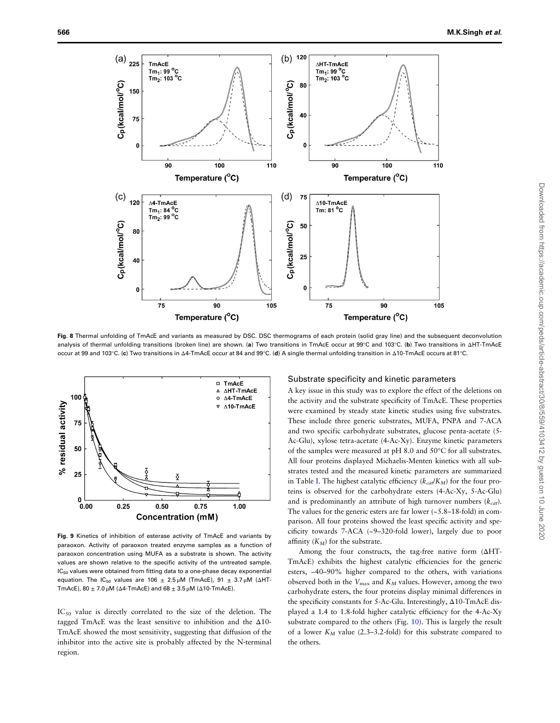<span id="page-7-0"></span>

Fig. 8 Thermal unfolding of TmAcE and variants as measured by DSC. DSC thermograms of each protein (solid gray line) and the subsequent deconvolution analysis of thermal unfolding transitions (broken line) are shown. (a) Two transitions in TmAcE occur at 99°C and 103°C. (b) Two transitions in ΔHT-TmAcE occur at 99 and 103°C. (c) Two transitions in Δ4-TmAcE occur at 84 and 99°C. (d) A single thermal unfolding transition in Δ10-TmAcE occurs at 81°C.



Fig. 9 Kinetics of inhibition of esterase activity of TmAcE and variants by paraoxon. Activity of paraoxon treated enzyme samples as a function of paraoxon concentration using MUFA as a substrate is shown. The activity values are shown relative to the specific activity of the untreated sample.  $IC_{50}$  values were obtained from fitting data to a one-phase decay exponential equation. The IC<sub>50</sub> values are 106  $\pm$  2.5 μM (TmAcE), 91  $\pm$  3.7 μM (ΔHT-TmAcE),  $80 \pm 7.0$  μM (Δ4-TmAcE) and  $68 \pm 3.5$  μM (Δ10-TmAcE).

IC<sub>50</sub> value is directly correlated to the size of the deletion. The tagged TmAcE was the least sensitive to inhibition and the Δ10- TmAcE showed the most sensitivity, suggesting that diffusion of the inhibitor into the active site is probably affected by the N-terminal region.

#### Substrate specificity and kinetic parameters

A key issue in this study was to explore the effect of the deletions on the activity and the substrate specificity of TmAcE. These properties were examined by steady state kinetic studies using five substrates. These include three generic substrates, MUFA, PNPA and 7-ACA and two specific carbohydrate substrates, glucose penta-acetate (5- Ac-Glu), xylose tetra-acetate (4-Ac-Xy). Enzyme kinetic parameters of the samples were measured at pH 8.0 and 50°C for all substrates. All four proteins displayed Michaelis-Menten kinetics with all substrates tested and the measured kinetic parameters are summarized in Table [I](#page-8-0). The highest catalytic efficiency ( $k_{cat}/K_M$ ) for the four proteins is observed for the carbohydrate esters (4-Ac-Xy, 5-Ac-Glu) and is predominantly an attribute of high turnover numbers  $(k_{cat})$ . The values for the generic esters are far lower  $(-5.8-18-fold)$  in comparison. All four proteins showed the least specific activity and specificity towards 7-ACA (~9–320-fold lower), largely due to poor affinity  $(K_M)$  for the substrate.

Among the four constructs, the tag-free native form (ΔHT-TmAcE) exhibits the highest catalytic efficiencies for the generic esters, ~40–90% higher compared to the others, with variations observed both in the  $V_{\text{max}}$  and  $K_M$  values. However, among the two carbohydrate esters, the four proteins display minimal differences in the specificity constants for 5-Ac-Glu. Interestingly, Δ10-TmAcE displayed a 1.4 to 1.8-fold higher catalytic efficiency for the 4-Ac-Xy substrate compared to the others (Fig. [10](#page-8-0)). This is largely the result of a lower  $K_M$  value (2.3–3.2-fold) for this substrate compared to the others.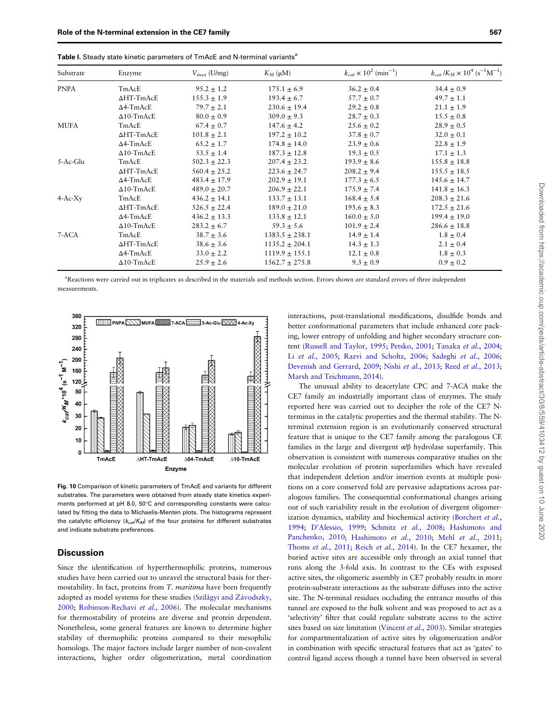| Substrate   | Enzyme             | $V_{\rm max}$ (U/mg) | $K_M$ (µM)         | $k_{cat} \times 10^2$ (min <sup>-1</sup> ) | $k_{cat}/K_M \times 10^4$ (s <sup>-1</sup> M <sup>-1</sup> ) |
|-------------|--------------------|----------------------|--------------------|--------------------------------------------|--------------------------------------------------------------|
| <b>PNPA</b> | TmAcE              | $95.2 \pm 1.2$       | $175.1 \pm 6.9$    | $36.2 \pm 0.4$                             | $34.4 \pm 0.9$                                               |
|             | $\Delta HT$ -TmAcE | $155.3 \pm 1.9$      | $193.4 \pm 6.7$    | $57.7 \pm 0.7$                             | $49.7 \pm 1.1$                                               |
|             | $\Delta$ 4-TmAcE   | $79.7 \pm 2.1$       | $230.6 \pm 19.4$   | $29.2 \pm 0.8$                             | $21.1 \pm 1.9$                                               |
|             | $\Delta$ 10-TmAcE  | $80.0 \pm 0.9$       | $309.0 \pm 9.3$    | $28.7 \pm 0.3$                             | $15.5 \pm 0.8$                                               |
| MUFA        | TmAcE              | $67.4 \pm 0.7$       | $147.6 \pm 4.2$    | $25.6 \pm 0.2$                             | $28.9 \pm 0.5$                                               |
|             | $\Delta HT$ -TmAcE | $101.8 \pm 2.1$      | $197.2 \pm 10.2$   | $37.8 \pm 0.7$                             | $32.0 \pm 0.1$                                               |
|             | $\Delta$ 4-TmAcE   | $65.2 \pm 1.7$       | $174.8 \pm 14.0$   | $23.9 \pm 0.6$                             | $22.8 \pm 1.9$                                               |
|             | $\Delta$ 10-TmAcE  | $53.5 \pm 1.4$       | $187.3 \pm 12.8$   | $19.3 \pm 0.5$                             | $17.1 \pm 1.3$                                               |
| 5-Ac-Glu    | TmAcE              | $502.3 \pm 22.3$     | $207.4 \pm 23.2$   | $193.9 \pm 8.6$                            | $155.8 \pm 18.8$                                             |
|             | $\Delta HT$ -TmAcE | $560.4 \pm 25.2$     | $223.6 \pm 24.7$   | $208.2 \pm 9.4$                            | $155.5 \pm 18.5$                                             |
|             | $\Delta$ 4-TmAcE   | $483.4 \pm 17.9$     | $202.9 \pm 19.1$   | $177.3 \pm 6.5$                            | $145.6 \pm 14.7$                                             |
|             | $\Delta$ 10-TmAcE  | $489.0 \pm 20.7$     | $206.9 \pm 22.1$   | $175.9 \pm 7.4$                            | $141.8 \pm 16.3$                                             |
| $4-Ac-Xy$   | TmAcE              | $436.2 \pm 14.1$     | $133.7 \pm 13.1$   | $168.4 \pm 5.4$                            | $208.3 \pm 21.6$                                             |
|             | $\Delta H$ T-TmAcE | $526.5 \pm 22.4$     | $189.0 \pm 21.0$   | $195.6 \pm 8.3$                            | $172.5 \pm 21.6$                                             |
|             | $\Delta$ 4-TmAcE   | $436.2 \pm 13.3$     | $133.8 \pm 12.1$   | $160.0 \pm 5.0$                            | $199.4 \pm 19.0$                                             |
|             | $\Delta$ 10-TmAcE  | $283.2 \pm 6.7$      | $59.3 \pm 5.6$     | $101.9 \pm 2.4$                            | $286.6 \pm 18.8$                                             |
| 7-ACA       | TmAcE              | $38.7 \pm 3.6$       | $1383.5 \pm 238.1$ | $14.9 \pm 1.4$                             | $1.8 \pm 0.4$                                                |
|             | ∆HT-TmAcE          | $38.6 \pm 3.6$       | $1135.2 \pm 204.1$ | $14.3 \pm 1.3$                             | $2.1 \pm 0.4$                                                |
|             | $\Delta$ 4-TmAcE   | $33.0 \pm 2.2$       | $1119.9 \pm 155.1$ | $12.1 \pm 0.8$                             | $1.8 \pm 0.3$                                                |
|             | $\Delta$ 10-TmAcE  | $25.9 \pm 2.6$       | $1562.7 \pm 275.8$ | $9.3 \pm 0.9$                              | $0.9 \pm 0.2$                                                |

<span id="page-8-0"></span>Table I. Steady state kinetic parameters of TmAcE and N-terminal variants<sup>a</sup>

a Reactions were carried out in triplicates as described in the materials and methods section. Errors shown are standard errors of three independent measurements.



Fig. 10 Comparison of kinetic parameters of TmAcE and variants for different substrates. The parameters were obtained from steady state kinetics experiments performed at pH 8.0, 50°C and corresponding constants were calculated by fitting the data to Michaelis-Menten plots. The histograms represent the catalytic efficiency  $(k_{cor}/K_M)$  of the four proteins for different substrates and indicate substrate preferences.

## **Discussion**

Since the identification of hyperthermophilic proteins, numerous studies have been carried out to unravel the structural basis for thermostability. In fact, proteins from T. maritima have been frequently adopted as model systems for these studies ([Szilágyi and Závodszky,](#page-11-0) [2000;](#page-11-0) [Robinson-Rechavi](#page-11-0) et al., 2006). The molecular mechanisms for thermostability of proteins are diverse and protein dependent. Nonetheless, some general features are known to determine higher stability of thermophilic proteins compared to their mesophilic homologs. The major factors include larger number of non-covalent interactions, higher order oligomerization, metal coordination

interactions, post-translational modifications, disulfide bonds and better conformational parameters that include enhanced core packing, lower entropy of unfolding and higher secondary structure content ([Russell and Taylor, 1995](#page-11-0); [Petsko, 2001](#page-11-0); [Tanaka](#page-11-0) et al., 2004; Li et al.[, 2005;](#page-11-0) [Razvi and Scholtz, 2006](#page-11-0); [Sadeghi](#page-11-0) et al., 2006; [Devenish and Gerrard, 2009;](#page-10-0) Nishi et al.[, 2013](#page-11-0); Reed et al.[, 2013;](#page-11-0) [Marsh and Teichmann, 2014\)](#page-11-0).

The unusual ability to deacetylate CPC and 7-ACA make the CE7 family an industrially important class of enzymes. The study reported here was carried out to decipher the role of the CE7 Nterminus in the catalytic properties and the thermal stability. The Nterminal extension region is an evolutionarily conserved structural feature that is unique to the CE7 family among the paralogous CE families in the large and divergent  $\alpha/\beta$  hydrolase superfamily. This observation is consistent with numerous comparative studies on the molecular evolution of protein superfamilies which have revealed that independent deletion and/or insertion events at multiple positions on a core conserved fold are pervasive adaptations across paralogous families. The consequential conformational changes arising out of such variability result in the evolution of divergent oligomer-ization dynamics, stability and biochemical activity [\(Borchert](#page-10-0) et al., [1994;](#page-10-0) D'[Alessio, 1999](#page-10-0); [Schmitz](#page-11-0) et al., 2008; [Hashimoto and](#page-11-0) [Panchenko, 2010](#page-11-0); [Hashimoto](#page-11-0) et al., 2010; Mehl et al.[, 2011;](#page-11-0) [Thoms](#page-11-0) et al., 2011; Reich et al.[, 2014\)](#page-11-0). In the CE7 hexamer, the buried active sites are accessible only through an axial tunnel that runs along the 3-fold axis. In contrast to the CEs with exposed active sites, the oligomeric assembly in CE7 probably results in more protein-substrate interactions as the substrate diffuses into the active site. The N-terminal residues occluding the entrance mouths of this tunnel are exposed to the bulk solvent and was proposed to act as a 'selectivity' filter that could regulate substrate access to the active sites based on size limitation ([Vincent](#page-11-0) et al., 2003). Similar strategies for compartmentalization of active sites by oligomerization and/or in combination with specific structural features that act as 'gates' to control ligand access though a tunnel have been observed in several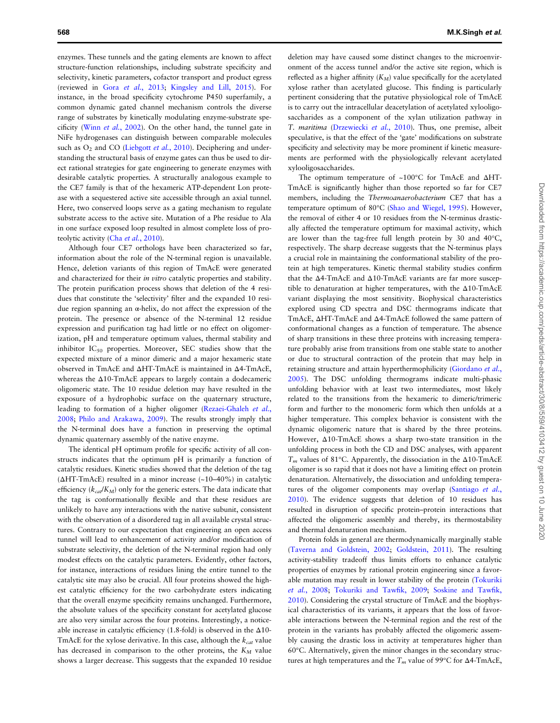enzymes. These tunnels and the gating elements are known to affect structure-function relationships, including substrate specificity and selectivity, kinetic parameters, cofactor transport and product egress (reviewed in Gora et al.[, 2013;](#page-11-0) [Kingsley and Lill, 2015](#page-11-0)). For instance, in the broad specificity cytochrome P450 superfamily, a common dynamic gated channel mechanism controls the diverse range of substrates by kinetically modulating enzyme-substrate specificity (Winn et al.[, 2002](#page-11-0)). On the other hand, the tunnel gate in NiFe hydrogenases can distinguish between comparable molecules such as  $O_2$  and CO ([Liebgott](#page-11-0) et al., 2010). Deciphering and understanding the structural basis of enzyme gates can thus be used to direct rational strategies for gate engineering to generate enzymes with desirable catalytic properties. A structurally analogous example to the CE7 family is that of the hexameric ATP-dependent Lon protease with a sequestered active site accessible through an axial tunnel. Here, two conserved loops serve as a gating mechanism to regulate substrate access to the active site. Mutation of a Phe residue to Ala in one surface exposed loop resulted in almost complete loss of pro-teolytic activity (Cha et al.[, 2010\)](#page-10-0).

Although four CE7 orthologs have been characterized so far, information about the role of the N-terminal region is unavailable. Hence, deletion variants of this region of TmAcE were generated and characterized for their in vitro catalytic properties and stability. The protein purification process shows that deletion of the 4 residues that constitute the 'selectivity' filter and the expanded 10 residue region spanning an α-helix, do not affect the expression of the protein. The presence or absence of the N-terminal 12 residue expression and purification tag had little or no effect on oligomerization, pH and temperature optimum values, thermal stability and inhibitor  $IC_{50}$  properties. Moreover, SEC studies show that the expected mixture of a minor dimeric and a major hexameric state observed in TmAcE and ΔHT-TmAcE is maintained in Δ4-TmAcE, whereas the Δ10-TmAcE appears to largely contain a dodecameric oligomeric state. The 10 residue deletion may have resulted in the exposure of a hydrophobic surface on the quaternary structure, leading to formation of a higher oligomer ([Rezaei-Ghaleh](#page-11-0) et al., [2008;](#page-11-0) [Philo and Arakawa, 2009\)](#page-11-0). The results strongly imply that the N-terminal does have a function in preserving the optimal dynamic quaternary assembly of the native enzyme.

The identical pH optimum profile for specific activity of all constructs indicates that the optimum pH is primarily a function of catalytic residues. Kinetic studies showed that the deletion of the tag (ΔHT-TmAcE) resulted in a minor increase (~10–40%) in catalytic efficiency ( $k_{cat}/K_M$ ) only for the generic esters. The data indicate that the tag is conformationally flexible and that these residues are unlikely to have any interactions with the native subunit, consistent with the observation of a disordered tag in all available crystal structures. Contrary to our expectation that engineering an open access tunnel will lead to enhancement of activity and/or modification of substrate selectivity, the deletion of the N-terminal region had only modest effects on the catalytic parameters. Evidently, other factors, for instance, interactions of residues lining the entire tunnel to the catalytic site may also be crucial. All four proteins showed the highest catalytic efficiency for the two carbohydrate esters indicating that the overall enzyme specificity remains unchanged. Furthermore, the absolute values of the specificity constant for acetylated glucose are also very similar across the four proteins. Interestingly, a noticeable increase in catalytic efficiency (1.8-fold) is observed in the Δ10- TmAcE for the xylose derivative. In this case, although the  $k_{cat}$  value has decreased in comparison to the other proteins, the  $K_M$  value shows a larger decrease. This suggests that the expanded 10 residue

deletion may have caused some distinct changes to the microenvironment of the access tunnel and/or the active site region, which is reflected as a higher affinity  $(K_M)$  value specifically for the acetylated xylose rather than acetylated glucose. This finding is particularly pertinent considering that the putative physiological role of TmAcE is to carry out the intracellular deacetylation of acetylated xylooligosaccharides as a component of the xylan utilization pathway in T. maritima [\(Drzewiecki](#page-10-0) et al., 2010). Thus, one premise, albeit speculative, is that the effect of the 'gate' modifications on substrate specificity and selectivity may be more prominent if kinetic measurements are performed with the physiologically relevant acetylated xylooligosaccharides.

The optimum temperature of ~100°C for TmAcE and ΔHT-TmAcE is significantly higher than those reported so far for CE7 members, including the Thermoanaerobacterium CE7 that has a temperature optimum of 80°C [\(Shao and Wiegel, 1995\)](#page-11-0). However, the removal of either 4 or 10 residues from the N-terminus drastically affected the temperature optimum for maximal activity, which are lower than the tag-free full length protein by 30 and 40°C, respectively. The sharp decrease suggests that the N-terminus plays a crucial role in maintaining the conformational stability of the protein at high temperatures. Kinetic thermal stability studies confirm that the Δ4-TmAcE and Δ10-TmAcE variants are far more susceptible to denaturation at higher temperatures, with the Δ10-TmAcE variant displaying the most sensitivity. Biophysical characteristics explored using CD spectra and DSC thermograms indicate that TmAcE, ΔHT-TmAcE and Δ4-TmAcE followed the same pattern of conformational changes as a function of temperature. The absence of sharp transitions in these three proteins with increasing temperature probably arise from transitions from one stable state to another or due to structural contraction of the protein that may help in retaining structure and attain hyperthermophilicity [\(Giordano](#page-10-0) et al., [2005\)](#page-10-0). The DSC unfolding thermograms indicate multi-phasic unfolding behavior with at least two intermediates, most likely related to the transitions from the hexameric to dimeric/trimeric form and further to the monomeric form which then unfolds at a higher temperature. This complex behavior is consistent with the dynamic oligomeric nature that is shared by the three proteins. However, Δ10-TmAcE shows a sharp two-state transition in the unfolding process in both the CD and DSC analyses, with apparent  $T_m$  values of 81°C. Apparently, the dissociation in the  $\Delta$ 10-TmAcE oligomer is so rapid that it does not have a limiting effect on protein denaturation. Alternatively, the dissociation and unfolding tempera-tures of the oligomer components may overlap [\(Santiago](#page-11-0) et al., [2010\)](#page-11-0). The evidence suggests that deletion of 10 residues has resulted in disruption of specific protein–protein interactions that affected the oligomeric assembly and thereby, its thermostability and thermal denaturation mechanism.

Protein folds in general are thermodynamically marginally stable ([Taverna and Goldstein, 2002;](#page-11-0) [Goldstein, 2011\)](#page-10-0). The resulting activity-stability tradeoff thus limits efforts to enhance catalytic properties of enzymes by rational protein engineering since a favorable mutation may result in lower stability of the protein ([Tokuriki](#page-11-0) et al.[, 2008;](#page-11-0) [Tokuriki and Taw](#page-11-0)fik, 2009; [Soskine and Taw](#page-11-0)fik, [2010\)](#page-11-0). Considering the crystal structure of TmAcE and the biophysical characteristics of its variants, it appears that the loss of favorable interactions between the N-terminal region and the rest of the protein in the variants has probably affected the oligomeric assembly causing the drastic loss in activity at temperatures higher than 60°C. Alternatively, given the minor changes in the secondary structures at high temperatures and the  $T_m$  value of 99°C for  $\Delta$ 4-TmAcE,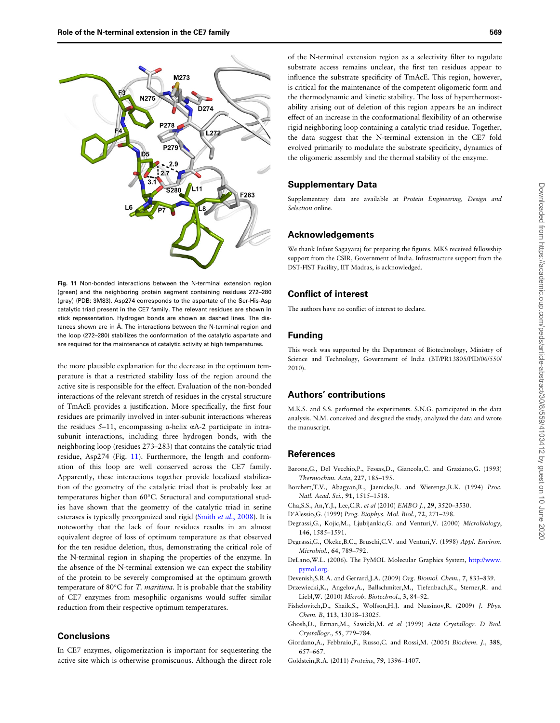<span id="page-10-0"></span>

Fig. 11 Non-bonded interactions between the N-terminal extension region (green) and the neighboring protein segment containing residues 272–280 (gray) (PDB: 3M83). Asp274 corresponds to the aspartate of the Ser-His-Asp catalytic triad present in the CE7 family. The relevant residues are shown in stick representation. Hydrogen bonds are shown as dashed lines. The distances shown are in Å. The interactions between the N-terminal region and the loop (272–280) stabilizes the conformation of the catalytic aspartate and are required for the maintenance of catalytic activity at high temperatures.

the more plausible explanation for the decrease in the optimum temperature is that a restricted stability loss of the region around the active site is responsible for the effect. Evaluation of the non-bonded interactions of the relevant stretch of residues in the crystal structure of TmAcE provides a justification. More specifically, the first four residues are primarily involved in inter-subunit interactions whereas the residues 5–11, encompassing α-helix  $αA-2$  participate in intrasubunit interactions, including three hydrogen bonds, with the neighboring loop (residues 273–283) that contains the catalytic triad residue, Asp274 (Fig. 11). Furthermore, the length and conformation of this loop are well conserved across the CE7 family. Apparently, these interactions together provide localized stabilization of the geometry of the catalytic triad that is probably lost at temperatures higher than 60°C. Structural and computational studies have shown that the geometry of the catalytic triad in serine esterases is typically preorganized and rigid (Smith et al.[, 2008](#page-11-0)). It is noteworthy that the lack of four residues results in an almost equivalent degree of loss of optimum temperature as that observed for the ten residue deletion, thus, demonstrating the critical role of the N-terminal region in shaping the properties of the enzyme. In the absence of the N-terminal extension we can expect the stability of the protein to be severely compromised at the optimum growth temperature of 80°C for T. maritima. It is probable that the stability of CE7 enzymes from mesophilic organisms would suffer similar reduction from their respective optimum temperatures.

### **Conclusions**

In CE7 enzymes, oligomerization is important for sequestering the active site which is otherwise promiscuous. Although the direct role of the N-terminal extension region as a selectivity filter to regulate substrate access remains unclear, the first ten residues appear to influence the substrate specificity of TmAcE. This region, however, is critical for the maintenance of the competent oligomeric form and the thermodynamic and kinetic stability. The loss of hyperthermostability arising out of deletion of this region appears be an indirect effect of an increase in the conformational flexibility of an otherwise rigid neighboring loop containing a catalytic triad residue. Together, the data suggest that the N-terminal extension in the CE7 fold evolved primarily to modulate the substrate specificity, dynamics of the oligomeric assembly and the thermal stability of the enzyme.

### Supplementary Data

Supplementary data are available at Protein Engineering, Design and Selection online.

#### Acknowledgements

We thank Infant Sagayaraj for preparing the figures. MKS received fellowship support from the CSIR, Government of India. Infrastructure support from the DST-FIST Facility, IIT Madras, is acknowledged.

# Conflict of interest

The authors have no conflict of interest to declare.

### Funding

This work was supported by the Department of Biotechnology, Ministry of Science and Technology, Government of India (BT/PR13805/PID/06/550/ 2010).

#### Authors' contributions

M.K.S. and S.S. performed the experiments. S.N.G. participated in the data analysis. N.M. conceived and designed the study, analyzed the data and wrote the manuscript.

# References

- Barone,G., Del Vecchio,P., Fessas,D., Giancola,C. and Graziano,G. (1993) Thermochim. Acta, 227, 185–195.
- Borchert,T.V., Abagyan,R., Jaenicke,R. and Wierenga,R.K. (1994) Proc. Natl. Acad. Sci., 91, 1515–1518.
- Cha,S.S., An,Y.J., Lee,C.R. et al (2010) EMBO J., 29, 3520–3530.
- D'Alessio,G. (1999) Prog. Biophys. Mol. Biol., 72, 271–298.
- Degrassi,G., Kojic,M., Ljubijankic,G. and Venturi,V. (2000) Microbiology, 146, 1585–1591.
- Degrassi,G., Okeke,B.C., Bruschi,C.V. and Venturi,V. (1998) Appl. Environ. Microbiol., 64, 789–792.
- DeLano,W.L. (2006). The PyMOL Molecular Graphics System, [http://www.](http://www.pymol/.org) [pymol.org.](http://www.pymol/.org)
- Devenish,S.R.A. and Gerrard,J.A. (2009) Org. Biomol. Chem., 7, 833–839.
- Drzewiecki,K., Angelov,A., Ballschmiter,M., Tiefenbach,K., Sterner,R. and Liebl,W. (2010) Microb. Biotechnol., 3, 84–92.
- Fishelovitch,D., Shaik,S., Wolfson,H.J. and Nussinov,R. (2009) J. Phys. Chem. B, 113, 13018-13025.
- Ghosh,D., Erman,M., Sawicki,M. et al (1999) Acta Crystallogr. D Biol. Crystallogr., 55, 779–784.
- Giordano,A., Febbraio,F., Russo,C. and Rossi,M. (2005) Biochem. J., 388, 657–667.
- Goldstein,R.A. (2011) Proteins, 79, 1396–1407.